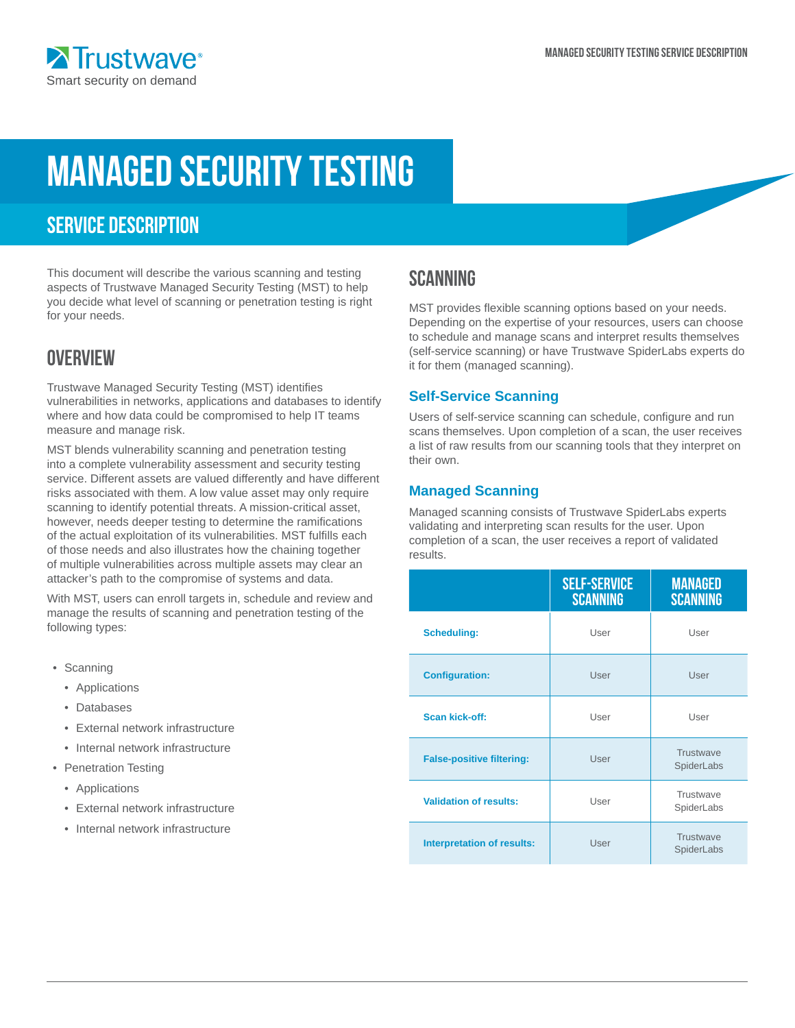# Managed security testing

# SERVICE DESCRIPTION

This document will describe the various scanning and testing aspects of Trustwave Managed Security Testing (MST) to help you decide what level of scanning or penetration testing is right for your needs.

# **OVERVIEW**

Trustwave Managed Security Testing (MST) identifies vulnerabilities in networks, applications and databases to identify where and how data could be compromised to help IT teams measure and manage risk.

MST blends vulnerability scanning and penetration testing into a complete vulnerability assessment and security testing service. Different assets are valued differently and have different risks associated with them. A low value asset may only require scanning to identify potential threats. A mission-critical asset, however, needs deeper testing to determine the ramifications of the actual exploitation of its vulnerabilities. MST fulfills each of those needs and also illustrates how the chaining together of multiple vulnerabilities across multiple assets may clear an attacker's path to the compromise of systems and data.

With MST, users can enroll targets in, schedule and review and manage the results of scanning and penetration testing of the following types:

- Scanning
	- Applications
	- Databases
	- External network infrastructure
	- Internal network infrastructure
- Penetration Testing
	- Applications
	- External network infrastructure
	- Internal network infrastructure

## **SCANNING**

MST provides flexible scanning options based on your needs. Depending on the expertise of your resources, users can choose to schedule and manage scans and interpret results themselves (self-service scanning) or have Trustwave SpiderLabs experts do it for them (managed scanning).

#### **Self-Service Scanning**

Users of self-service scanning can schedule, configure and run scans themselves. Upon completion of a scan, the user receives a list of raw results from our scanning tools that they interpret on their own.

#### **Managed Scanning**

Managed scanning consists of Trustwave SpiderLabs experts validating and interpreting scan results for the user. Upon completion of a scan, the user receives a report of validated results.

|                                   | <b>SELF-SERVICE</b><br><b>SCANNING</b> | <b>MANAGED</b><br><b>SCANNING</b> |
|-----------------------------------|----------------------------------------|-----------------------------------|
| <b>Scheduling:</b>                | User                                   | User                              |
| <b>Configuration:</b>             | User                                   | User                              |
| <b>Scan kick-off:</b>             | User                                   | User                              |
| <b>False-positive filtering:</b>  | User                                   | Trustwave<br>SpiderLabs           |
| <b>Validation of results:</b>     | User                                   | Trustwave<br>SpiderLabs           |
| <b>Interpretation of results:</b> | User                                   | Trustwave<br>SpiderLabs           |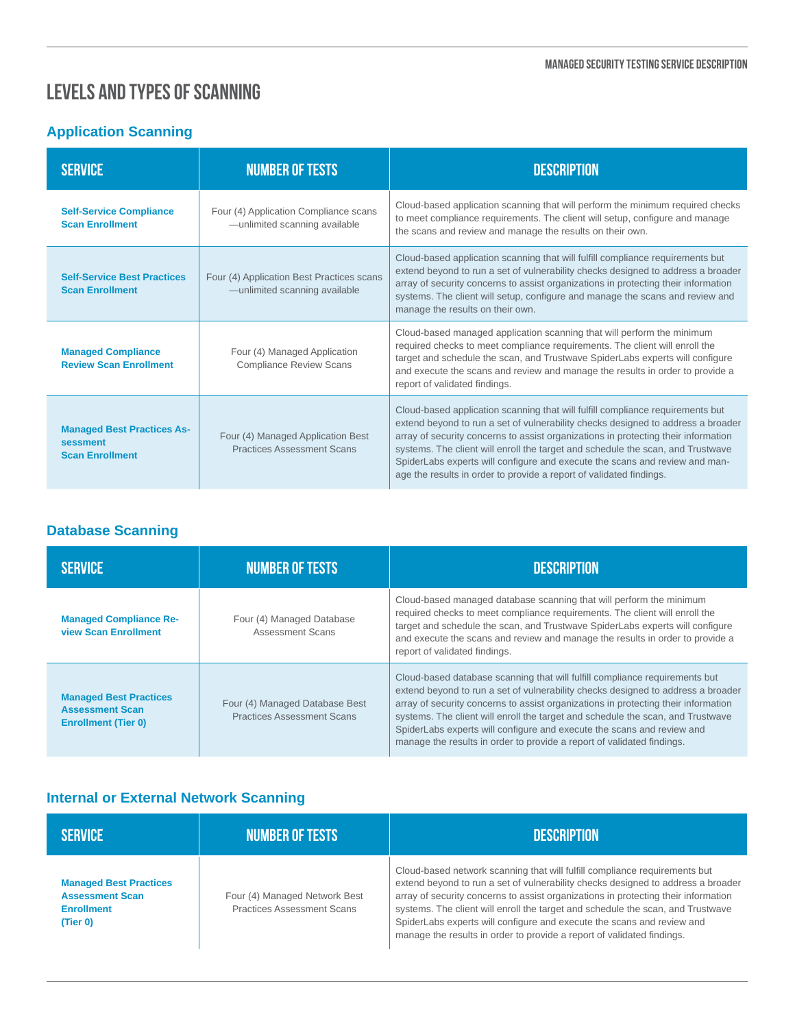## Levels and Types of Scanning

## **Application Scanning**

| <b>SERVICE</b>                                                          | <b>NUMBER OF TESTS</b>                                                     | <b>DESCRIPTION</b>                                                                                                                                                                                                                                                                                                                                                                                                                                                                                |
|-------------------------------------------------------------------------|----------------------------------------------------------------------------|---------------------------------------------------------------------------------------------------------------------------------------------------------------------------------------------------------------------------------------------------------------------------------------------------------------------------------------------------------------------------------------------------------------------------------------------------------------------------------------------------|
| <b>Self-Service Compliance</b><br><b>Scan Enrollment</b>                | Four (4) Application Compliance scans<br>-unlimited scanning available     | Cloud-based application scanning that will perform the minimum required checks<br>to meet compliance requirements. The client will setup, configure and manage<br>the scans and review and manage the results on their own.                                                                                                                                                                                                                                                                       |
| <b>Self-Service Best Practices</b><br><b>Scan Enrollment</b>            | Four (4) Application Best Practices scans<br>-unlimited scanning available | Cloud-based application scanning that will fulfill compliance requirements but<br>extend beyond to run a set of vulnerability checks designed to address a broader<br>array of security concerns to assist organizations in protecting their information<br>systems. The client will setup, configure and manage the scans and review and<br>manage the results on their own.                                                                                                                     |
| <b>Managed Compliance</b><br><b>Review Scan Enrollment</b>              | Four (4) Managed Application<br><b>Compliance Review Scans</b>             | Cloud-based managed application scanning that will perform the minimum<br>required checks to meet compliance requirements. The client will enroll the<br>target and schedule the scan, and Trustwave SpiderLabs experts will configure<br>and execute the scans and review and manage the results in order to provide a<br>report of validated findings.                                                                                                                                          |
| <b>Managed Best Practices As-</b><br>sessment<br><b>Scan Enrollment</b> | Four (4) Managed Application Best<br><b>Practices Assessment Scans</b>     | Cloud-based application scanning that will fulfill compliance requirements but<br>extend beyond to run a set of vulnerability checks designed to address a broader<br>array of security concerns to assist organizations in protecting their information<br>systems. The client will enroll the target and schedule the scan, and Trustwave<br>SpiderLabs experts will configure and execute the scans and review and man-<br>age the results in order to provide a report of validated findings. |

## **Database Scanning**

| <b>SERVICE</b>                                                                        | <b>NUMBER OF TESTS</b>                                              | <b>DESCRIPTION</b>                                                                                                                                                                                                                                                                                                                                                                                                                                                                           |
|---------------------------------------------------------------------------------------|---------------------------------------------------------------------|----------------------------------------------------------------------------------------------------------------------------------------------------------------------------------------------------------------------------------------------------------------------------------------------------------------------------------------------------------------------------------------------------------------------------------------------------------------------------------------------|
| <b>Managed Compliance Re-</b><br><b>view Scan Enrollment</b>                          | Four (4) Managed Database<br>Assessment Scans                       | Cloud-based managed database scanning that will perform the minimum<br>required checks to meet compliance requirements. The client will enroll the<br>target and schedule the scan, and Trustwave SpiderLabs experts will configure<br>and execute the scans and review and manage the results in order to provide a<br>report of validated findings.                                                                                                                                        |
| <b>Managed Best Practices</b><br><b>Assessment Scan</b><br><b>Enrollment (Tier 0)</b> | Four (4) Managed Database Best<br><b>Practices Assessment Scans</b> | Cloud-based database scanning that will fulfill compliance requirements but<br>extend beyond to run a set of vulnerability checks designed to address a broader<br>array of security concerns to assist organizations in protecting their information<br>systems. The client will enroll the target and schedule the scan, and Trustwave<br>SpiderLabs experts will configure and execute the scans and review and<br>manage the results in order to provide a report of validated findings. |

## **Internal or External Network Scanning**

| <b>SERVICE</b>                                                                           | <b>NUMBER OF TESTS</b>                                             | <b>DESCRIPTION</b>                                                                                                                                                                                                                                                                                                                                                                                                                                                                          |
|------------------------------------------------------------------------------------------|--------------------------------------------------------------------|---------------------------------------------------------------------------------------------------------------------------------------------------------------------------------------------------------------------------------------------------------------------------------------------------------------------------------------------------------------------------------------------------------------------------------------------------------------------------------------------|
| <b>Managed Best Practices</b><br><b>Assessment Scan</b><br><b>Enrollment</b><br>(Tier 0) | Four (4) Managed Network Best<br><b>Practices Assessment Scans</b> | Cloud-based network scanning that will fulfill compliance requirements but<br>extend beyond to run a set of vulnerability checks designed to address a broader<br>array of security concerns to assist organizations in protecting their information<br>systems. The client will enroll the target and schedule the scan, and Trustwave<br>SpiderLabs experts will configure and execute the scans and review and<br>manage the results in order to provide a report of validated findings. |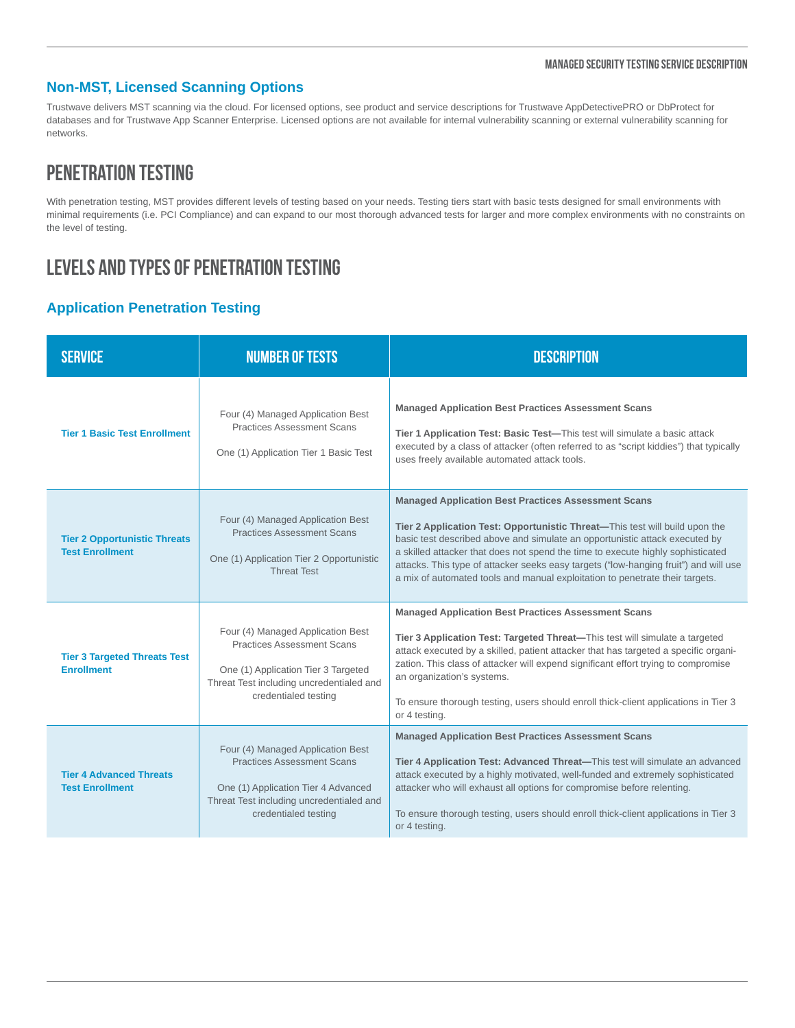#### Managed security testing Service Description

#### **Non-MST, Licensed Scanning Options**

Trustwave delivers MST scanning via the cloud. For licensed options, see product and service descriptions for Trustwave AppDetectivePRO or DbProtect for databases and for Trustwave App Scanner Enterprise. Licensed options are not available for internal vulnerability scanning or external vulnerability scanning for networks.

## Penetration Testing

With penetration testing, MST provides different levels of testing based on your needs. Testing tiers start with basic tests designed for small environments with minimal requirements (i.e. PCI Compliance) and can expand to our most thorough advanced tests for larger and more complex environments with no constraints on the level of testing.

# Levels and Types of Penetration Testing

#### **Application Penetration Testing**

| <b>SERVICE</b>                                                | <b>NUMBER OF TESTS</b>                                                                                                                                                            | <b>DESCRIPTION</b>                                                                                                                                                                                                                                                                                                                                                                                                                                                                  |
|---------------------------------------------------------------|-----------------------------------------------------------------------------------------------------------------------------------------------------------------------------------|-------------------------------------------------------------------------------------------------------------------------------------------------------------------------------------------------------------------------------------------------------------------------------------------------------------------------------------------------------------------------------------------------------------------------------------------------------------------------------------|
| <b>Tier 1 Basic Test Enrollment</b>                           | Four (4) Managed Application Best<br><b>Practices Assessment Scans</b><br>One (1) Application Tier 1 Basic Test                                                                   | <b>Managed Application Best Practices Assessment Scans</b><br>Tier 1 Application Test: Basic Test-This test will simulate a basic attack<br>executed by a class of attacker (often referred to as "script kiddies") that typically<br>uses freely available automated attack tools.                                                                                                                                                                                                 |
| <b>Tier 2 Opportunistic Threats</b><br><b>Test Enrollment</b> | Four (4) Managed Application Best<br><b>Practices Assessment Scans</b><br>One (1) Application Tier 2 Opportunistic<br><b>Threat Test</b>                                          | <b>Managed Application Best Practices Assessment Scans</b><br>Tier 2 Application Test: Opportunistic Threat—This test will build upon the<br>basic test described above and simulate an opportunistic attack executed by<br>a skilled attacker that does not spend the time to execute highly sophisticated<br>attacks. This type of attacker seeks easy targets ("low-hanging fruit") and will use<br>a mix of automated tools and manual exploitation to penetrate their targets. |
| <b>Tier 3 Targeted Threats Test</b><br><b>Enrollment</b>      | Four (4) Managed Application Best<br><b>Practices Assessment Scans</b><br>One (1) Application Tier 3 Targeted<br>Threat Test including uncredentialed and<br>credentialed testing | <b>Managed Application Best Practices Assessment Scans</b><br>Tier 3 Application Test: Targeted Threat-This test will simulate a targeted<br>attack executed by a skilled, patient attacker that has targeted a specific organi-<br>zation. This class of attacker will expend significant effort trying to compromise<br>an organization's systems.<br>To ensure thorough testing, users should enroll thick-client applications in Tier 3<br>or 4 testing.                        |
| <b>Tier 4 Advanced Threats</b><br><b>Test Enrollment</b>      | Four (4) Managed Application Best<br><b>Practices Assessment Scans</b><br>One (1) Application Tier 4 Advanced<br>Threat Test including uncredentialed and<br>credentialed testing | <b>Managed Application Best Practices Assessment Scans</b><br>Tier 4 Application Test: Advanced Threat-This test will simulate an advanced<br>attack executed by a highly motivated, well-funded and extremely sophisticated<br>attacker who will exhaust all options for compromise before relenting.<br>To ensure thorough testing, users should enroll thick-client applications in Tier 3<br>or 4 testing.                                                                      |